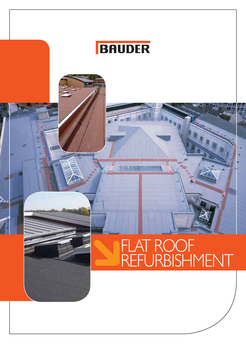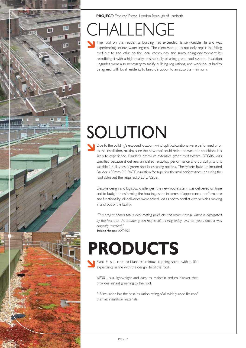

**PROJECT:** Ethelred Estate, London Borough of Lambeth

# IALLENGE

The roof on this residential building had exceeded its serviceable life and was experiencing serious water ingress. The client wanted to not only repair the failing roof but to add value to the local community and surrounding environment by retrofitting it with a high quality, aesthetically pleasing green roof system. Insulation upgrades were also necessary to satisfy building regulations, and work hours had to be agreed with local residents to keep disruption to an absolute minimum.

# SOLUTION

Due to the building's exposed location, wind uplift calculations were performed prior to the installation, making sure the new roof could resist the weather conditions it is likely to experience. Bauder's premium extensive green roof system, BTGRS, was specified because it delivers unrivalled reliability, performance and durability, and is suitable for all types of green roof landscaping options. The system build-up included Bauder's 90mm PIR FA-TE insulation for superior thermal performance, ensuring the roof achieved the required 0.25 U-Value.

Despite design and logistical challenges, the new roof system was delivered on time and to budget transforming the housing estate in terms of appearance, performance and functionality. All deliveries were scheduled as not to conflict with vehicles moving in and out of the facility.

*"This project boasts top quality roofing products and workmanship, which is highlighted by the fact that the Bauder green roof is still thriving today, over ten years since it was originally installed."*  Building Manager, WATMOS

# **PRODUCTS**

Plant E is a root resistant bituminous capping sheet with a life expectancy in line with the design life of the roof.

XF301 is a lightweight and easy to maintain sedum blanket that provides instant greening to the roof.

PIR insulation has the best insulation rating of all widely-used flat roof thermal insulation materials.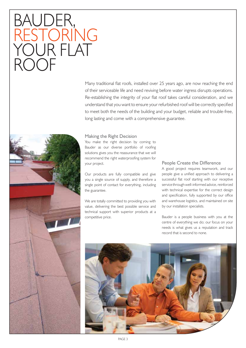## BAUDER, RESTORING YOUR FLAT ROOF

Many traditional flat roofs, installed over 25 years ago, are now reaching the end of their serviceable life and need reviving before water ingress disrupts operations. Re-establishing the integrity of your flat roof takes careful consideration, and we understand that you want to ensure your refurbished roof will be correctly specified to meet both the needs of the building and your budget, reliable and trouble-free, long lasting and come with a comprehensive guarantee.



### Making the Right Decision

You make the right decision by coming to Bauder as our diverse portfolio of roofing solutions gives you the reassurance that we will recommend the right waterproofing system for your project.

Our products are fully compatible and give you a single source of supply, and therefore a single point of contact for everything, including the guarantee.

We are totally committed to providing you with value, delivering the best possible service and technical support with superior products at a competitive price.

### People Create the Difference

A good project requires teamwork, and our people give a unified approach to delivering a successful flat roof starting with our receptive service through well-informed advice, reinforced with technical expertise for the correct design and specification, fully supported by our office and warehouse logistics, and maintained on site by our installation specialists.

Bauder is a people business with you at the centre of everything we do; our focus on your needs is what gives us a reputation and track record that is second to none.

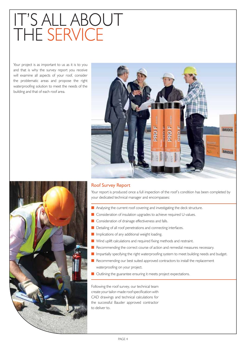# IT'S ALL ABOUT THE SERVICE

Your project is as important to us as it is to you and that is why the survey report you receive will examine all aspects of your roof, consider the problematic areas and propose the right waterproofing solution to meet the needs of the building and that of each roof area.



### Your report is produced once a full inspection of the roof's condition has been completed by your dedicated technical manager and encompasses: Roof Survey Report

- Analysing the current roof covering and investigating the deck structure.
- **E** Consideration of insulation upgrades to achieve required U-values.
- **E** Consideration of drainage effectiveness and falls.
- **E** Detailing of all roof penetrations and connecting interfaces.
- **Inplications of any additional weight loading.**
- **No Wind uplift calculations and required fixing methods and restraint.**
- **E** Recommending the correct course of action and remedial measures necessary.
- **In** Impartially specifying the right waterproofing system to meet building needs and budget.
- **E** Recommending our best suited approved contractors to install the replacement waterproofing on your project.
- **u** Outlining the guarantee ensuring it meets project expectations.

Following the roof survey, our technical team create your tailor-made roof specification with CAD drawings and technical calculations for the successful Bauder approved contractor to deliver to.

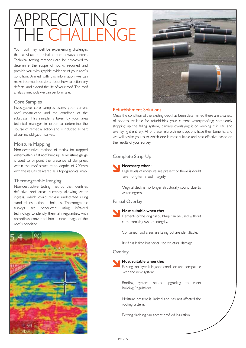# APPRECIATING THE CHALLENGE

Your roof may well be experiencing challenges that a visual appraisal cannot always detect. Technical testing methods can be employed to determine the scope of works required and provide you with graphic evidence of your roof's condition. Armed with this information we can make informed decisions about how to action any defects, and extend the life of your roof. The roof analysis methods we can perform are:

### Core Samples

Investigative core samples assess your current roof construction and the condition of the substrate. This sample is taken by your area technical manager in order to determine the course of remedial action and is included as part of our no obligation survey.

### Moisture Mapping

Non-destructive method of testing for trapped water within a flat roof build up. A moisture gauge is used to pinpoint the presence of dampness within the roof structure to depths of 200mm with the results delivered as a topographical map.

### Thermographic Imaging

Non-destructive testing method that identifies defective roof areas currently allowing water ingress, which could remain undetected using standard inspection techniques. Thermographic surveys are conducted using infra-red technology to identify thermal irregularities, with recordings converted into a clear image of the roof's condition.





### Refurbishment Solutions

Once the condition of the existing deck has been determined there are a variety of options available for refurbishing your current waterproofing; completely stripping up the failing system, partially overlaying it or keeping it in situ and overlaying it entirely. All of these refurbishment options have their benefits, and we will advise you as to which one is most suitable and cost-effective based on the results of your survey.

### Complete Strip-Up

### **Necessary when:**

High levels of moisture are present or there is doubt over long-term roof integrity.

 Original deck is no longer structurally sound due to water ingress.

Partial Overlay

### **Most suitable when the:**

Elements of the original build-up can be used without compromising system integrity.

Contained roof areas are failing but are identifiable.

Roof has leaked but not caused structural damage.

### **Overlay**



### **Most suitable when the:**

Existing top layer is in good condition and compatible with the new system.

Roofing system needs upgrading to meet Building Regulations.

Moisture present is limited and has not affected the roofing system.

Existing cladding can accept profiled insulation.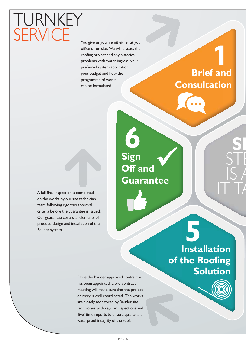You give us your remit either at your office or on site. We will discuss the roofing project and any historical problems with water ingress, your preferred system application, your budget and how the programme of works can be formulated.

### **Brief and Consultation**

**1**

A full final inspection is completed on the works by our site technician team following rigorous approval criteria before the guarantee is issued. Our guarantee covers all elements of product, design and installation of the Bauder system.

**TURNKEY** 

**SERVICE** 

## **6 Sign Off and Guarantee**

Once the Bauder approved contractor has been appointed, a pre-contract meeting will make sure that the project delivery is well coordinated. The works are closely monitored by Bauder site technicians with regular inspections and 'live' time reports to ensure quality and waterproof integrity of the roof.

**5 Installation of the Roofing Solution**



**SI**

STE<br>STE

 $\mathsf{IS}$ 

 $|\top \top$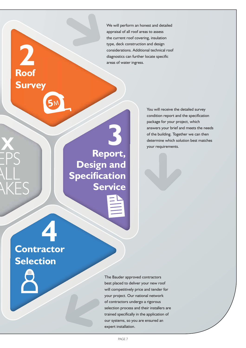We will perform an honest and detailed appraisal of all roof areas to assess the current roof covering, insulation type, deck construction and design considerations. Additional technical roof diagnostics can further locate specific areas of water ingress.

### **3 Report, Design and Specification Service**

You will receive the detailed survey condition report and the specification package for your project, which answers your brief and meets the needs of the building. Together we can then determine which solution best matches your requirements.

**4 Contractor Selection**

**IX**

EPS

**Roof**

**2**

**Survey**

ALL

AKES

The Bauder approved contractors best placed to deliver your new roof will competitively price and tender for your project. Our national network of contractors undergo a rigorous selection process and their installers are trained specifically in the application of our systems, so you are ensured an expert installation.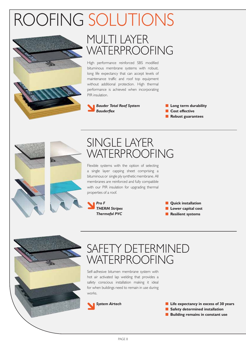# ROOFING SOLUTIONS



### MULTI LAYER WATERPROOFING

High performance reinforced SBS modified bituminous membrane systems with robust, long life expectancy that can accept levels of maintenance traffic and roof top equipment without additional protection. High thermal performance is achieved when incorporating PIR insulation.



**E** Long term durability **E** Cost effective **Robust guarantees** 





### SINGLE LAYER WATERPROOFING

Flexible systems with the option of selecting a single layer capping sheet comprising a bituminous or single ply synthetic membrane. All membranes are reinforced and fully compatible with our PIR insulation for upgrading thermal properties of a roof.



**Quick installation E** Lower capital cost **Resilient systems** 



### SAFETY DETERMINED WATERPROOFING

Self-adhesive bitumen membrane system with hot air activated lap welding that provides a safety conscious installation making it ideal for when buildings need to remain in use during works.



- **E** Life expectancy in excess of 30 years
- **E** Safety determined installation
- **E** Building remains in constant use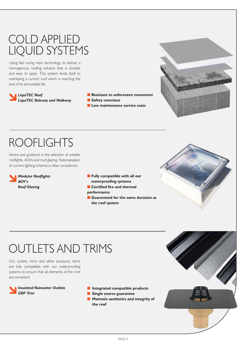### COLD APPLIED LIQUID SYSTEMS

Using fast curing resin technology to deliver a homogenous roofing solution that is durable and easy to apply. This system lends itself to overlaying a current roof which is reaching the end of its serviceable life.

 *LiquiTEC Roof LiquiTEC Balcony and Walkway*







## ROOFLIGHTS

Advice and guidance in the selection of suitable rooflights, AOVs and roof glazing. Rationalisation of current lighting scheme is often considered.



- **Fully compatible with all our waterproofing systems**
- **E** Certified fire and thermal **performance**
- **E** Guaranteed for the same duration as  **the roof system**



## OUTLETS AND TRIMS

Our outlets, trims and other accessory items are fully compatible with our waterproofing systems to ensure that all elements of the roof are consistent.



- $\blacksquare$  Integrated compatible products
- **E** Single source guarantee
- **Maintain aesthetics and integrity of the roof**

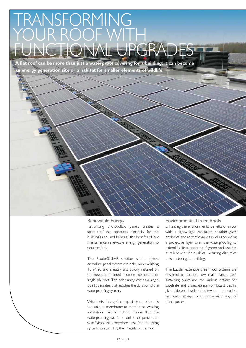## RANSFORMING YOUR ROOF WITH LIONAL UP

**A flat roof can be more than just a waterproof covering for a building; it can become an energy generation site or a habitat for smaller elements of wildlife.**

### Renewable Energy

Retrofitting photovoltaic panels creates a solar roof that produces electricity for the building's use, and brings all the benefits of low maintenance renewable energy generation to your project.

The BauderSOLAR solution is the lightest crystalline panel system available, only weighing 13kg/m<sup>2</sup>, and is easily and quickly installed on the newly completed bitumen membrane or single ply roof. The solar array carries a single point guarantee that matches the duration of the waterproofing system.

What sets this system apart from others is the unique membrane-to-membrane welding installation method which means that the waterproofing won't be drilled or penetrated with fixings and is therefore a risk-free mounting system, safeguarding the integrity of the roof.

#### Environmental Green Roofs

Enhancing the environmental benefits of a roof with a lightweight vegetation solution gives ecological and aesthetic value as well as providing a protective layer over the waterproofing to extend its life expectancy. A green roof also has excellent acoustic qualities, reducing disruptive noise entering the building.

The Bauder extensive green roof systems are designed to support low maintenance, selfsustaining plants and the various options for substrate and drainage/reservoir board depths give different levels of rainwater attenuation and water storage to support a wide range of plant species.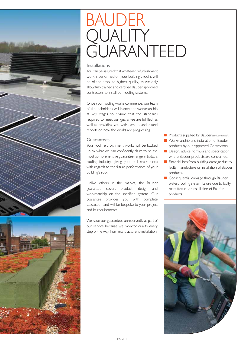



## BAUDER )UALI I Y GUARANTEED

### Installations

You can be assured that whatever refurbishment work is performed on your building's roof it will be of the absolute highest quality, as we only allow fully trained and certified Bauder approved contractors to install our roofing systems.

Once your roofing works commence, our team of site technicians will inspect the workmanship at key stages to ensure that the standards required to meet our guarantee are fulfilled, as well as providing you with easy to understand reports on how the works are progressing.

### **Guarantees**

Your roof refurbishment works will be backed up by what we can confidently claim to be the most comprehensive guarantee range in today's roofing industry, giving you total reassurance with regards to the future performance of your building's roof.

Unlike others in the market, the Bauder guarantee covers product, design and workmanship on the specified system. Our guarantee provides you with complete satisfaction and will be bespoke to your project and its requirements.

We issue our guarantees unreservedly as part of our service because we monitor quality every step of the way from manufacture to installation.

Products supplied by Bauder (exclusions exist).

- **Norkmanship and installation of Bauder** products by our Approved Contractors.
- **Design, advice, formula and specification** where Bauder products are concerned.
- **Financial loss from building damage due to**  faulty manufacture or installation of Bauder products.
- **Consequential damage through Bauder**  waterproofing system failure due to faulty manufacture or installation of Bauder products.